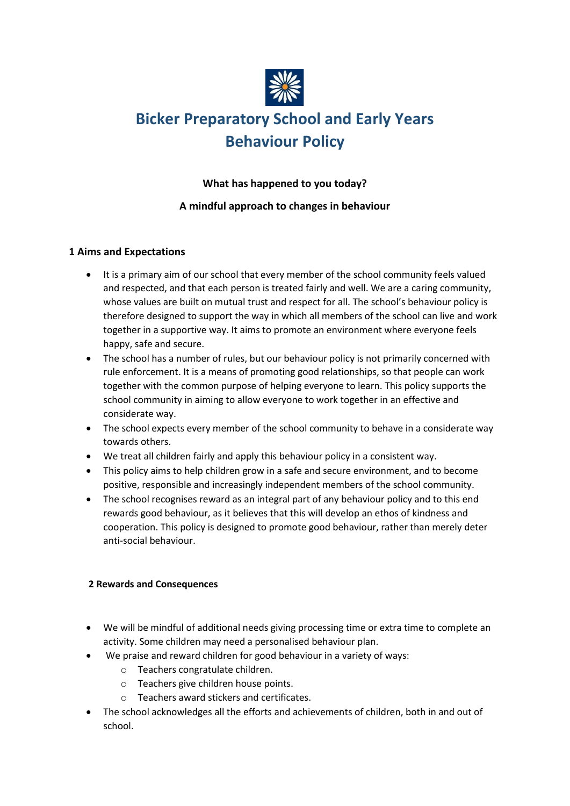

# **Bicker Preparatory School and Early Years Behaviour Policy**

## **What has happened to you today?**

# **A mindful approach to changes in behaviour**

## **1 Aims and Expectations**

- It is a primary aim of our school that every member of the school community feels valued and respected, and that each person is treated fairly and well. We are a caring community, whose values are built on mutual trust and respect for all. The school's behaviour policy is therefore designed to support the way in which all members of the school can live and work together in a supportive way. It aims to promote an environment where everyone feels happy, safe and secure.
- The school has a number of rules, but our behaviour policy is not primarily concerned with rule enforcement. It is a means of promoting good relationships, so that people can work together with the common purpose of helping everyone to learn. This policy supports the school community in aiming to allow everyone to work together in an effective and considerate way.
- The school expects every member of the school community to behave in a considerate way towards others.
- We treat all children fairly and apply this behaviour policy in a consistent way.
- This policy aims to help children grow in a safe and secure environment, and to become positive, responsible and increasingly independent members of the school community.
- The school recognises reward as an integral part of any behaviour policy and to this end rewards good behaviour, as it believes that this will develop an ethos of kindness and cooperation. This policy is designed to promote good behaviour, rather than merely deter anti-social behaviour.

#### **2 Rewards and Consequences**

- We will be mindful of additional needs giving processing time or extra time to complete an activity. Some children may need a personalised behaviour plan.
- We praise and reward children for good behaviour in a variety of ways:
	- o Teachers congratulate children.
	- o Teachers give children house points.
	- o Teachers award stickers and certificates.
- The school acknowledges all the efforts and achievements of children, both in and out of school.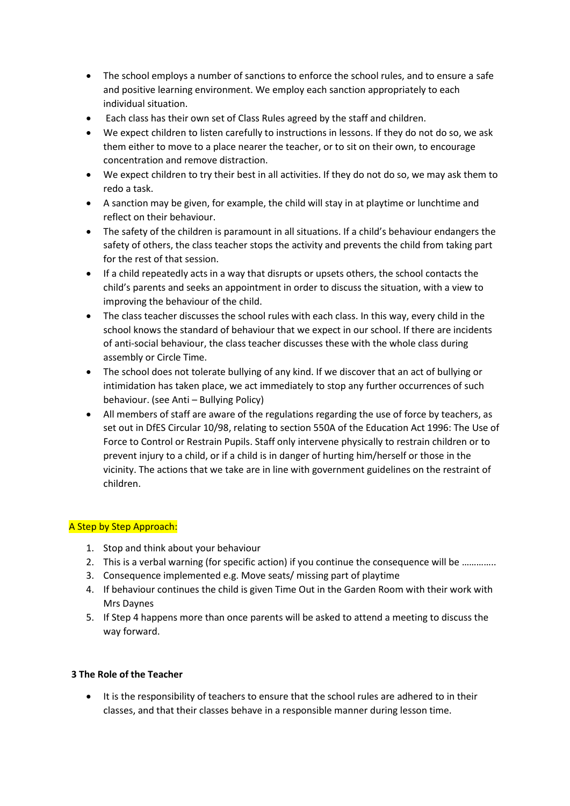- The school employs a number of sanctions to enforce the school rules, and to ensure a safe and positive learning environment. We employ each sanction appropriately to each individual situation.
- Each class has their own set of Class Rules agreed by the staff and children.
- We expect children to listen carefully to instructions in lessons. If they do not do so, we ask them either to move to a place nearer the teacher, or to sit on their own, to encourage concentration and remove distraction.
- We expect children to try their best in all activities. If they do not do so, we may ask them to redo a task.
- A sanction may be given, for example, the child will stay in at playtime or lunchtime and reflect on their behaviour.
- The safety of the children is paramount in all situations. If a child's behaviour endangers the safety of others, the class teacher stops the activity and prevents the child from taking part for the rest of that session.
- If a child repeatedly acts in a way that disrupts or upsets others, the school contacts the child's parents and seeks an appointment in order to discuss the situation, with a view to improving the behaviour of the child.
- The class teacher discusses the school rules with each class. In this way, every child in the school knows the standard of behaviour that we expect in our school. If there are incidents of anti-social behaviour, the class teacher discusses these with the whole class during assembly or Circle Time.
- The school does not tolerate bullying of any kind. If we discover that an act of bullying or intimidation has taken place, we act immediately to stop any further occurrences of such behaviour. (see Anti – Bullying Policy)
- All members of staff are aware of the regulations regarding the use of force by teachers, as set out in DfES Circular 10/98, relating to section 550A of the Education Act 1996: The Use of Force to Control or Restrain Pupils. Staff only intervene physically to restrain children or to prevent injury to a child, or if a child is in danger of hurting him/herself or those in the vicinity. The actions that we take are in line with government guidelines on the restraint of children.

#### A Step by Step Approach:

- 1. Stop and think about your behaviour
- 2. This is a verbal warning (for specific action) if you continue the consequence will be …………..
- 3. Consequence implemented e.g. Move seats/ missing part of playtime
- 4. If behaviour continues the child is given Time Out in the Garden Room with their work with Mrs Daynes
- 5. If Step 4 happens more than once parents will be asked to attend a meeting to discuss the way forward.

#### **3 The Role of the Teacher**

It is the responsibility of teachers to ensure that the school rules are adhered to in their classes, and that their classes behave in a responsible manner during lesson time.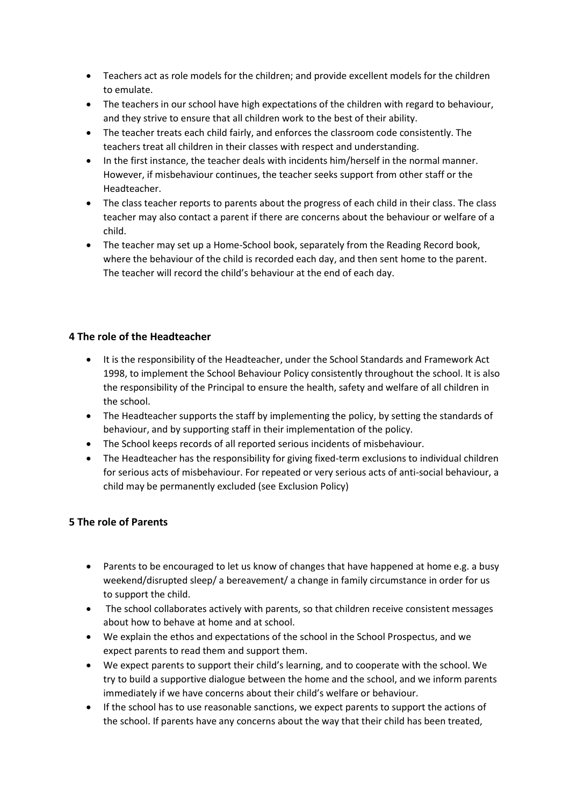- Teachers act as role models for the children; and provide excellent models for the children to emulate.
- The teachers in our school have high expectations of the children with regard to behaviour, and they strive to ensure that all children work to the best of their ability.
- The teacher treats each child fairly, and enforces the classroom code consistently. The teachers treat all children in their classes with respect and understanding.
- In the first instance, the teacher deals with incidents him/herself in the normal manner. However, if misbehaviour continues, the teacher seeks support from other staff or the Headteacher.
- The class teacher reports to parents about the progress of each child in their class. The class teacher may also contact a parent if there are concerns about the behaviour or welfare of a child.
- The teacher may set up a Home-School book, separately from the Reading Record book, where the behaviour of the child is recorded each day, and then sent home to the parent. The teacher will record the child's behaviour at the end of each day.

## **4 The role of the Headteacher**

- It is the responsibility of the Headteacher, under the School Standards and Framework Act 1998, to implement the School Behaviour Policy consistently throughout the school. It is also the responsibility of the Principal to ensure the health, safety and welfare of all children in the school.
- The Headteacher supports the staff by implementing the policy, by setting the standards of behaviour, and by supporting staff in their implementation of the policy.
- The School keeps records of all reported serious incidents of misbehaviour.
- The Headteacher has the responsibility for giving fixed-term exclusions to individual children for serious acts of misbehaviour. For repeated or very serious acts of anti-social behaviour, a child may be permanently excluded (see Exclusion Policy)

# **5 The role of Parents**

- Parents to be encouraged to let us know of changes that have happened at home e.g. a busy weekend/disrupted sleep/ a bereavement/ a change in family circumstance in order for us to support the child.
- The school collaborates actively with parents, so that children receive consistent messages about how to behave at home and at school.
- We explain the ethos and expectations of the school in the School Prospectus, and we expect parents to read them and support them.
- We expect parents to support their child's learning, and to cooperate with the school. We try to build a supportive dialogue between the home and the school, and we inform parents immediately if we have concerns about their child's welfare or behaviour.
- If the school has to use reasonable sanctions, we expect parents to support the actions of the school. If parents have any concerns about the way that their child has been treated,